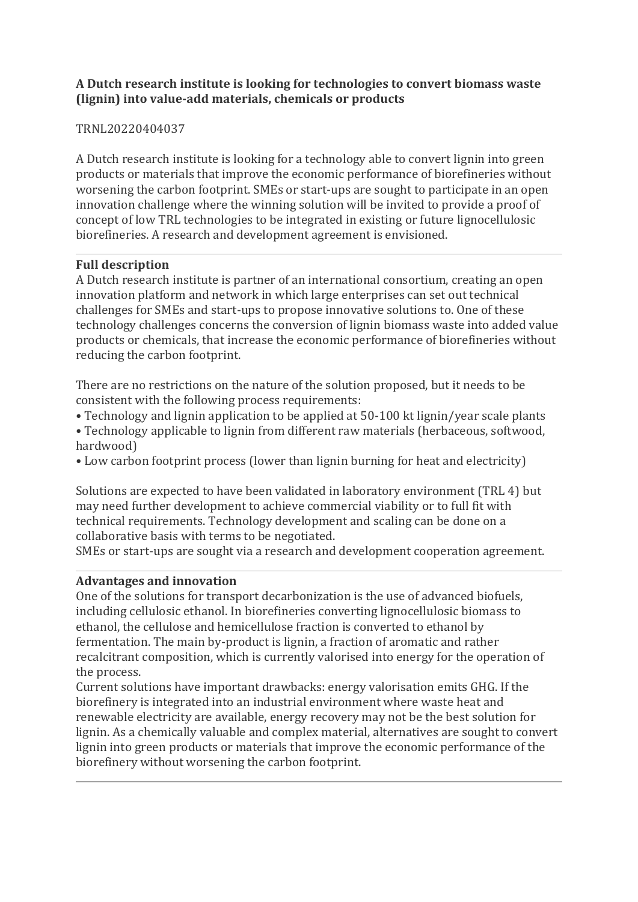### **A Dutch research institute is looking for technologies to convert biomass waste (lignin) into value-add materials, chemicals or products**

## TRNL20220404037

A Dutch research institute is looking for a technology able to convert lignin into green products or materials that improve the economic performance of biorefineries without worsening the carbon footprint. SMEs or start-ups are sought to participate in an open innovation challenge where the winning solution will be invited to provide a proof of concept of low TRL technologies to be integrated in existing or future lignocellulosic biorefineries. A research and development agreement is envisioned.

## **Full description**

A Dutch research institute is partner of an international consortium, creating an open innovation platform and network in which large enterprises can set out technical challenges for SMEs and start-ups to propose innovative solutions to. One of these technology challenges concerns the conversion of lignin biomass waste into added value products or chemicals, that increase the economic performance of biorefineries without reducing the carbon footprint.

There are no restrictions on the nature of the solution proposed, but it needs to be consistent with the following process requirements:

- Technology and lignin application to be applied at 50-100 kt lignin/year scale plants
- Technology applicable to lignin from different raw materials (herbaceous, softwood, hardwood)
- Low carbon footprint process (lower than lignin burning for heat and electricity)

Solutions are expected to have been validated in laboratory environment (TRL 4) but may need further development to achieve commercial viability or to full fit with technical requirements. Technology development and scaling can be done on a collaborative basis with terms to be negotiated.

SMEs or start-ups are sought via a research and development cooperation agreement.

#### **Advantages and innovation**

One of the solutions for transport decarbonization is the use of advanced biofuels, including cellulosic ethanol. In biorefineries converting lignocellulosic biomass to ethanol, the cellulose and hemicellulose fraction is converted to ethanol by fermentation. The main by-product is lignin, a fraction of aromatic and rather recalcitrant composition, which is currently valorised into energy for the operation of the process.

Current solutions have important drawbacks: energy valorisation emits GHG. If the biorefinery is integrated into an industrial environment where waste heat and renewable electricity are available, energy recovery may not be the best solution for lignin. As a chemically valuable and complex material, alternatives are sought to convert lignin into green products or materials that improve the economic performance of the biorefinery without worsening the carbon footprint.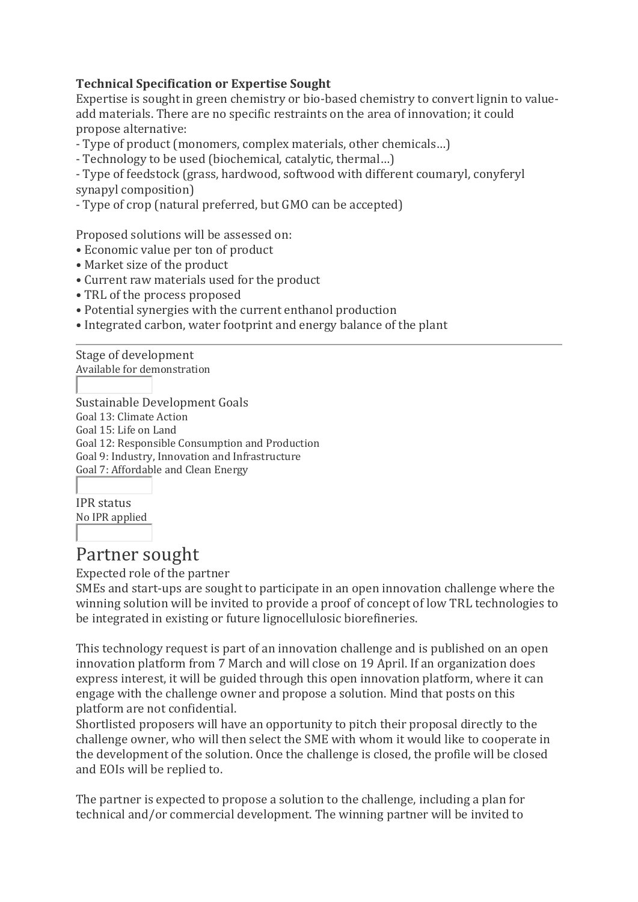## **Technical Specification or Expertise Sought**

Expertise is sought in green chemistry or bio-based chemistry to convert lignin to valueadd materials. There are no specific restraints on the area of innovation; it could propose alternative:

- Type of product (monomers, complex materials, other chemicals…)

- Technology to be used (biochemical, catalytic, thermal…)

- Type of feedstock (grass, hardwood, softwood with different coumaryl, conyferyl synapyl composition)

- Type of crop (natural preferred, but GMO can be accepted)

Proposed solutions will be assessed on:

- Economic value per ton of product
- Market size of the product
- Current raw materials used for the product
- TRL of the process proposed
- Potential synergies with the current enthanol production
- Integrated carbon, water footprint and energy balance of the plant

Stage of development Available for demonstration

Sustainable Development Goals Goal 13: Climate Action Goal 15: Life on Land Goal 12: Responsible Consumption and Production Goal 9: Industry, Innovation and Infrastructure Goal 7: Affordable and Clean Energy

IPR status No IPR applied

# Partner sought

Expected role of the partner

SMEs and start-ups are sought to participate in an open innovation challenge where the winning solution will be invited to provide a proof of concept of low TRL technologies to be integrated in existing or future lignocellulosic biorefineries.

This technology request is part of an innovation challenge and is published on an open innovation platform from 7 March and will close on 19 April. If an organization does express interest, it will be guided through this open innovation platform, where it can engage with the challenge owner and propose a solution. Mind that posts on this platform are not confidential.

Shortlisted proposers will have an opportunity to pitch their proposal directly to the challenge owner, who will then select the SME with whom it would like to cooperate in the development of the solution. Once the challenge is closed, the profile will be closed and EOIs will be replied to.

The partner is expected to propose a solution to the challenge, including a plan for technical and/or commercial development. The winning partner will be invited to